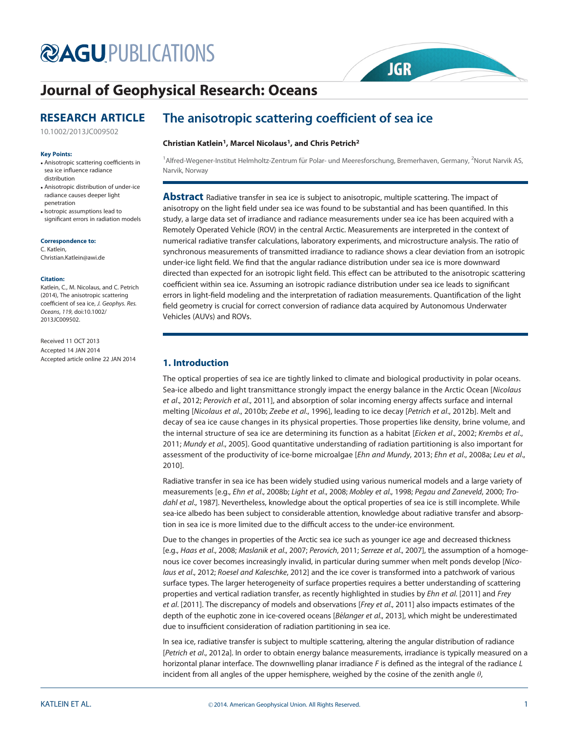# **@AGU[PUBLICATIONS](http://publications.agu.org/)**

## [Journal of Geophysical Research: Oceans](http://onlinelibrary.wiley.com/journal/10.1002/(ISSN)2169-9291/)

### RESEARCH ARTICLE

[10.1002/2013JC009502](http://dx.doi.org/10.1002/2013JC009502)

### Key Points:

- Anisotropic scattering coefficients in sea ice influence radiance distribution
- Anisotropic distribution of under-ice radiance causes deeper light penetration
- Isotropic assumptions lead to

significant errors in radiation models

Correspondence to: C. Katlein, Christian.Katlein@awi.de

### Citation:

Katlein, C., M. Nicolaus, and C. Petrich (2014), The anisotropic scattering coefficient of sea ice, J. Geophys. Res. Oceans, 119, doi:[10.1002/](info:doi/10.1002/2013JC009502) [2013JC009502](info:doi/10.1002/2013JC009502).

Received 11 OCT 2013 Accepted 14 JAN 2014 Accepted article online 22 JAN 2014

### The anisotropic scattering coefficient of sea ice

### Christian Katlein<sup>1</sup>, Marcel Nicolaus<sup>1</sup>, and Chris Petrich<sup>2</sup>

<sup>1</sup> Alfred-Wegener-Institut Helmholtz-Zentrum für Polar- und Meeresforschung, Bremerhaven, Germany, <sup>2</sup>Norut Narvik AS, Narvik, Norway

**JGR** 

Abstract Radiative transfer in sea ice is subject to anisotropic, multiple scattering. The impact of anisotropy on the light field under sea ice was found to be substantial and has been quantified. In this study, a large data set of irradiance and radiance measurements under sea ice has been acquired with a Remotely Operated Vehicle (ROV) in the central Arctic. Measurements are interpreted in the context of numerical radiative transfer calculations, laboratory experiments, and microstructure analysis. The ratio of synchronous measurements of transmitted irradiance to radiance shows a clear deviation from an isotropic under-ice light field. We find that the angular radiance distribution under sea ice is more downward directed than expected for an isotropic light field. This effect can be attributed to the anisotropic scattering coefficient within sea ice. Assuming an isotropic radiance distribution under sea ice leads to significant errors in light-field modeling and the interpretation of radiation measurements. Quantification of the light field geometry is crucial for correct conversion of radiance data acquired by Autonomous Underwater Vehicles (AUVs) and ROVs.

### 1. Introduction

The optical properties of sea ice are tightly linked to climate and biological productivity in polar oceans. Sea-ice albedo and light transmittance strongly impact the energy balance in the Arctic Ocean [Nicolaus et al., 2012; Perovich et al., 2011], and absorption of solar incoming energy affects surface and internal melting [Nicolaus et al., 2010b; Zeebe et al., 1996], leading to ice decay [Petrich et al., 2012b]. Melt and decay of sea ice cause changes in its physical properties. Those properties like density, brine volume, and the internal structure of sea ice are determining its function as a habitat [Eicken et al., 2002; Krembs et al., 2011; Mundy et al., 2005]. Good quantitative understanding of radiation partitioning is also important for assessment of the productivity of ice-borne microalgae [Ehn and Mundy, 2013; Ehn et al., 2008a; Leu et al., 2010].

Radiative transfer in sea ice has been widely studied using various numerical models and a large variety of measurements [e.g., Ehn et al., 2008b; Light et al., 2008; Mobley et al., 1998; Pegau and Zaneveld, 2000; Trodahl et al., 1987]. Nevertheless, knowledge about the optical properties of sea ice is still incomplete. While sea-ice albedo has been subject to considerable attention, knowledge about radiative transfer and absorption in sea ice is more limited due to the difficult access to the under-ice environment.

Due to the changes in properties of the Arctic sea ice such as younger ice age and decreased thickness [e.g., Haas et al., 2008; Maslanik et al., 2007; Perovich, 2011; Serreze et al., 2007], the assumption of a homogenous ice cover becomes increasingly invalid, in particular during summer when melt ponds develop [Nicolaus et al., 2012; Roesel and Kaleschke, 2012] and the ice cover is transformed into a patchwork of various surface types. The larger heterogeneity of surface properties requires a better understanding of scattering properties and vertical radiation transfer, as recently highlighted in studies by Ehn et al. [2011] and Frey et al. [2011]. The discrepancy of models and observations [Frey et al., 2011] also impacts estimates of the depth of the euphotic zone in ice-covered oceans [Bélanger et al., 2013], which might be underestimated due to insufficient consideration of radiation partitioning in sea ice.

In sea ice, radiative transfer is subject to multiple scattering, altering the angular distribution of radiance [Petrich et al., 2012a]. In order to obtain energy balance measurements, irradiance is typically measured on a horizontal planar interface. The downwelling planar irradiance  $F$  is defined as the integral of the radiance  $L$ incident from all angles of the upper hemisphere, weighed by the cosine of the zenith angle  $\theta$ ,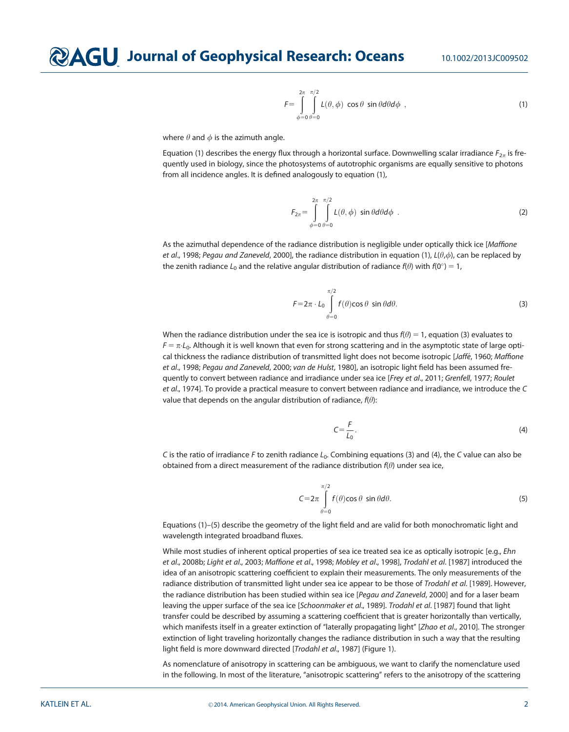$$
F = \int_{\phi=0}^{2\pi} \int_{\theta=0}^{\pi/2} L(\theta, \phi) \cos \theta \sin \theta d\theta d\phi , \qquad (1)
$$

where  $\theta$  and  $\phi$  is the azimuth angle.

Equation (1) describes the energy flux through a horizontal surface. Downwelling scalar irradiance  $F_{2\pi}$  is frequently used in biology, since the photosystems of autotrophic organisms are equally sensitive to photons from all incidence angles. It is defined analogously to equation (1),

$$
F_{2\pi} = \int_{\phi=0}^{2\pi} \int_{\theta=0}^{\pi/2} L(\theta, \phi) \sin \theta d\theta d\phi
$$
 (2)

As the azimuthal dependence of the radiance distribution is negligible under optically thick ice [Maffione et al., 1998; Pegau and Zaneveld, 2000], the radiance distribution in equation (1),  $L(\theta,\phi)$ , can be replaced by the zenith radiance  $L_0$  and the relative angular distribution of radiance  $f(\theta)$  with  $f(0^\circ) = 1$ ,

$$
F = 2\pi \cdot L_0 \int_{\theta=0}^{\pi/2} f(\theta) \cos \theta \sin \theta d\theta.
$$
 (3)

When the radiance distribution under the sea ice is isotropic and thus  $f(\theta) = 1$ , equation (3) evaluates to  $F = \pi \cdot L_0$ . Although it is well known that even for strong scattering and in the asymptotic state of large optical thickness the radiance distribution of transmitted light does not become isotropic [Jaffé, 1960; Maffione et al., 1998; Pegau and Zaneveld, 2000; van de Hulst, 1980], an isotropic light field has been assumed frequently to convert between radiance and irradiance under sea ice [Frey et al., 2011; Grenfell, 1977; Roulet et al., 1974]. To provide a practical measure to convert between radiance and irradiance, we introduce the C value that depends on the angular distribution of radiance,  $f(\theta)$ :

$$
C = \frac{F}{L_0} \tag{4}
$$

C is the ratio of irradiance F to zenith radiance  $L_0$ . Combining equations (3) and (4), the C value can also be obtained from a direct measurement of the radiance distribution  $f(\theta)$  under sea ice,

$$
C = 2\pi \int_{\theta=0}^{\pi/2} f(\theta) \cos \theta \sin \theta d\theta.
$$
 (5)

Equations (1)–(5) describe the geometry of the light field and are valid for both monochromatic light and wavelength integrated broadband fluxes.

While most studies of inherent optical properties of sea ice treated sea ice as optically isotropic [e.g., Ehn et al., 2008b; Light et al., 2003; Maffione et al., 1998; Mobley et al., 1998], Trodahl et al. [1987] introduced the idea of an anisotropic scattering coefficient to explain their measurements. The only measurements of the radiance distribution of transmitted light under sea ice appear to be those of Trodahl et al. [1989]. However, the radiance distribution has been studied within sea ice [Pegau and Zaneveld, 2000] and for a laser beam leaving the upper surface of the sea ice [Schoonmaker et al., 1989]. Trodahl et al. [1987] found that light transfer could be described by assuming a scattering coefficient that is greater horizontally than vertically, which manifests itself in a greater extinction of "laterally propagating light" [Zhao et al., 2010]. The stronger extinction of light traveling horizontally changes the radiance distribution in such a way that the resulting light field is more downward directed [Trodahl et al., 1987] (Figure 1).

As nomenclature of anisotropy in scattering can be ambiguous, we want to clarify the nomenclature used in the following. In most of the literature, "anisotropic scattering" refers to the anisotropy of the scattering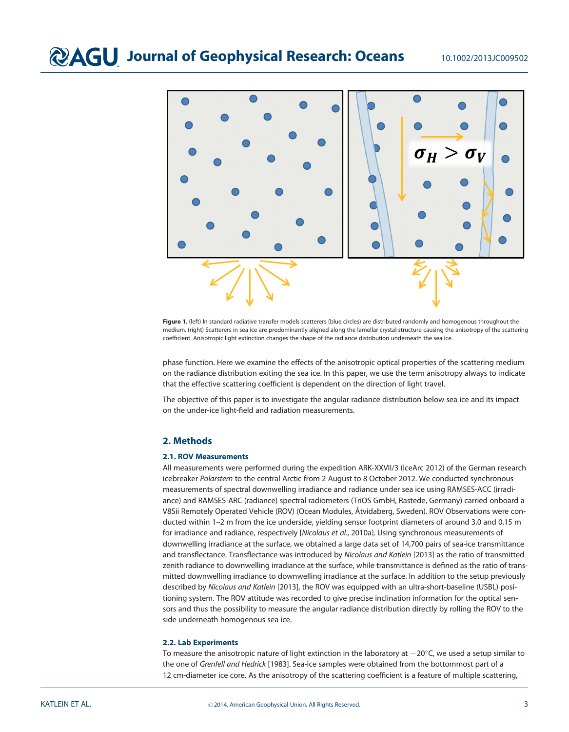

Figure 1. (left) In standard radiative transfer models scatterers (blue circles) are distributed randomly and homogenous throughout the medium. (right) Scatterers in sea ice are predominantly aligned along the lamellar crystal structure causing the anisotropy of the scattering coefficient. Anisotropic light extinction changes the shape of the radiance distribution underneath the sea ice.

phase function. Here we examine the effects of the anisotropic optical properties of the scattering medium on the radiance distribution exiting the sea ice. In this paper, we use the term anisotropy always to indicate that the effective scattering coefficient is dependent on the direction of light travel.

The objective of this paper is to investigate the angular radiance distribution below sea ice and its impact on the under-ice light-field and radiation measurements.

### 2. Methods

### 2.1. ROV Measurements

All measurements were performed during the expedition ARK-XXVII/3 (IceArc 2012) of the German research icebreaker Polarstern to the central Arctic from 2 August to 8 October 2012. We conducted synchronous measurements of spectral downwelling irradiance and radiance under sea ice using RAMSES-ACC (irradiance) and RAMSES-ARC (radiance) spectral radiometers (TriOS GmbH, Rastede, Germany) carried onboard a V8Sii Remotely Operated Vehicle (ROV) (Ocean Modules, Åtvidaberg, Sweden). ROV Observations were conducted within 1–2 m from the ice underside, yielding sensor footprint diameters of around 3.0 and 0.15 m for irradiance and radiance, respectively [Nicolaus et al., 2010a]. Using synchronous measurements of downwelling irradiance at the surface, we obtained a large data set of 14,700 pairs of sea-ice transmittance and transflectance. Transflectance was introduced by Nicolaus and Katlein [2013] as the ratio of transmitted zenith radiance to downwelling irradiance at the surface, while transmittance is defined as the ratio of transmitted downwelling irradiance to downwelling irradiance at the surface. In addition to the setup previously described by Nicolaus and Katlein [2013], the ROV was equipped with an ultra-short-baseline (USBL) positioning system. The ROV attitude was recorded to give precise inclination information for the optical sensors and thus the possibility to measure the angular radiance distribution directly by rolling the ROV to the side underneath homogenous sea ice.

### 2.2. Lab Experiments

To measure the anisotropic nature of light extinction in the laboratory at  $-20^{\circ}$ C, we used a setup similar to the one of Grenfell and Hedrick [1983]. Sea-ice samples were obtained from the bottommost part of a 12 cm-diameter ice core. As the anisotropy of the scattering coefficient is a feature of multiple scattering,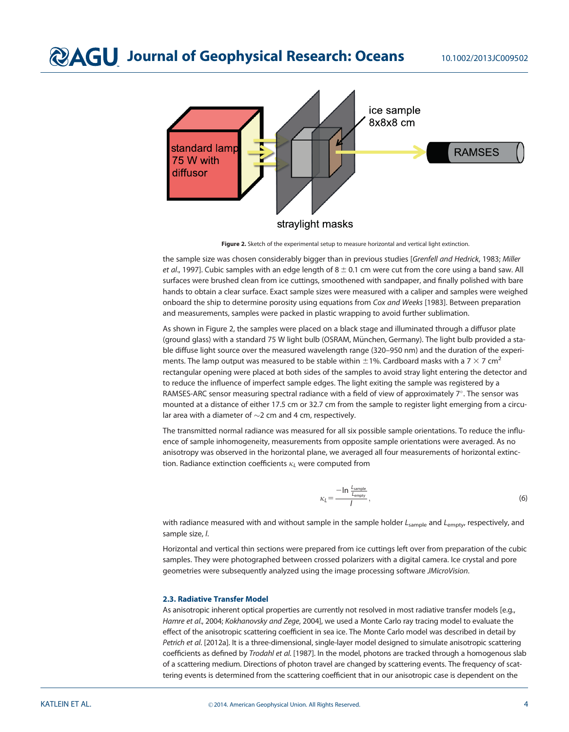**QAGU** Journal of Geophysical Research: Oceans 10.1002/2013JC009502



Figure 2. Sketch of the experimental setup to measure horizontal and vertical light extinction.

the sample size was chosen considerably bigger than in previous studies [Grenfell and Hedrick, 1983; Miller et al., 1997]. Cubic samples with an edge length of  $8 \pm 0.1$  cm were cut from the core using a band saw. All surfaces were brushed clean from ice cuttings, smoothened with sandpaper, and finally polished with bare hands to obtain a clear surface. Exact sample sizes were measured with a caliper and samples were weighed onboard the ship to determine porosity using equations from Cox and Weeks [1983]. Between preparation and measurements, samples were packed in plastic wrapping to avoid further sublimation.

As shown in Figure 2, the samples were placed on a black stage and illuminated through a diffusor plate (ground glass) with a standard 75 W light bulb (OSRAM, München, Germany). The light bulb provided a stable diffuse light source over the measured wavelength range (320–950 nm) and the duration of the experiments. The lamp output was measured to be stable within  $\pm 1$ %. Cardboard masks with a 7  $\times$  7 cm<sup>2</sup> rectangular opening were placed at both sides of the samples to avoid stray light entering the detector and to reduce the influence of imperfect sample edges. The light exiting the sample was registered by a RAMSES-ARC sensor measuring spectral radiance with a field of view of approximately  $7^\circ$ . The sensor was mounted at a distance of either 17.5 cm or 32.7 cm from the sample to register light emerging from a circular area with a diameter of  $\sim$ 2 cm and 4 cm, respectively.

The transmitted normal radiance was measured for all six possible sample orientations. To reduce the influence of sample inhomogeneity, measurements from opposite sample orientations were averaged. As no anisotropy was observed in the horizontal plane, we averaged all four measurements of horizontal extinction. Radiance extinction coefficients  $\kappa_L$  were computed from

$$
\kappa_L = \frac{-\ln \frac{L_{\text{sample}}}{L_{\text{empty}}}}{I},\tag{6}
$$

with radiance measured with and without sample in the sample holder  $L_{\text{sample}}$  and  $L_{\text{empty}}$ , respectively, and sample size, l.

Horizontal and vertical thin sections were prepared from ice cuttings left over from preparation of the cubic samples. They were photographed between crossed polarizers with a digital camera. Ice crystal and pore geometries were subsequently analyzed using the image processing software JMicroVision.

### 2.3. Radiative Transfer Model

As anisotropic inherent optical properties are currently not resolved in most radiative transfer models [e.g., Hamre et al., 2004; Kokhanovsky and Zege, 2004], we used a Monte Carlo ray tracing model to evaluate the effect of the anisotropic scattering coefficient in sea ice. The Monte Carlo model was described in detail by Petrich et al. [2012a]. It is a three-dimensional, single-layer model designed to simulate anisotropic scattering coefficients as defined by Trodahl et al. [1987]. In the model, photons are tracked through a homogenous slab of a scattering medium. Directions of photon travel are changed by scattering events. The frequency of scattering events is determined from the scattering coefficient that in our anisotropic case is dependent on the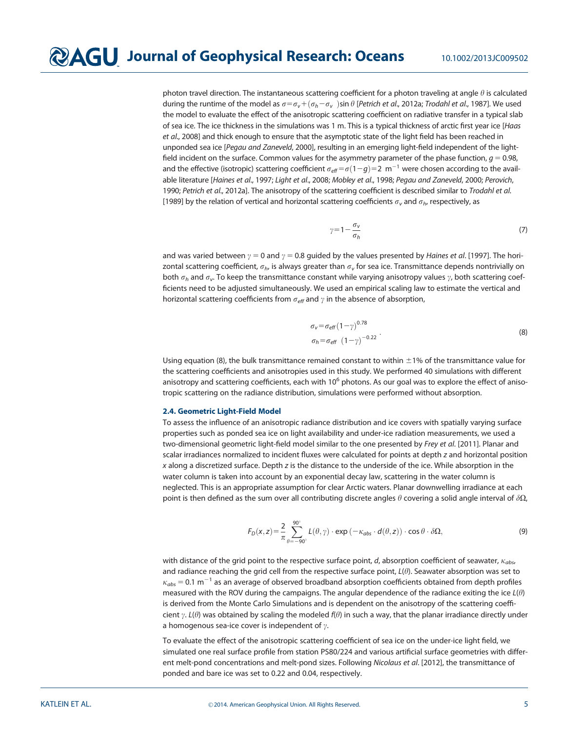photon travel direction. The instantaneous scattering coefficient for a photon traveling at angle  $\theta$  is calculated during the runtime of the model as  $\sigma = \sigma_v + (\sigma_h - \sigma_v) \sin \theta$  [Petrich et al., 2012a; Trodahl et al., 1987]. We used the model to evaluate the effect of the anisotropic scattering coefficient on radiative transfer in a typical slab of sea ice. The ice thickness in the simulations was 1 m. This is a typical thickness of arctic first year ice [Haas et al., 2008] and thick enough to ensure that the asymptotic state of the light field has been reached in unponded sea ice [Pegau and Zaneveld, 2000], resulting in an emerging light-field independent of the lightfield incident on the surface. Common values for the asymmetry parameter of the phase function,  $q = 0.98$ , and the effective (isotropic) scattering coefficient  $\sigma_{\text{eff}} = \sigma(1-q) = 2 \text{ m}^{-1}$  were chosen according to the available literature [Haines et al., 1997; Light et al., 2008; Mobley et al., 1998; Pegau and Zaneveld, 2000; Perovich, 1990; Petrich et al., 2012a]. The anisotropy of the scattering coefficient is described similar to Trodahl et al. [1989] by the relation of vertical and horizontal scattering coefficients  $\sigma_v$  and  $\sigma_{h}$ , respectively, as

$$
\gamma = 1 - \frac{\sigma_v}{\sigma_h} \tag{7}
$$

and was varied between  $\gamma = 0$  and  $\gamma = 0.8$  guided by the values presented by Haines et al. [1997]. The horizontal scattering coefficient,  $\sigma_h$ , is always greater than  $\sigma_v$  for sea ice. Transmittance depends nontrivially on both  $\sigma_b$  and  $\sigma_v$ . To keep the transmittance constant while varying anisotropy values  $\gamma$ , both scattering coefficients need to be adjusted simultaneously. We used an empirical scaling law to estimate the vertical and horizontal scattering coefficients from  $\sigma_{\text{eff}}$  and  $\gamma$  in the absence of absorption,

$$
\sigma_{\nu} = \sigma_{\text{eff}} (1 - \gamma)^{0.78}
$$
  
\n
$$
\sigma_h = \sigma_{\text{eff}} (1 - \gamma)^{-0.22}
$$
 (8)

Using equation (8), the bulk transmittance remained constant to within  $\pm 1\%$  of the transmittance value for the scattering coefficients and anisotropies used in this study. We performed 40 simulations with different anisotropy and scattering coefficients, each with  $10<sup>6</sup>$  photons. As our goal was to explore the effect of anisotropic scattering on the radiance distribution, simulations were performed without absorption.

### 2.4. Geometric Light-Field Model

To assess the influence of an anisotropic radiance distribution and ice covers with spatially varying surface properties such as ponded sea ice on light availability and under-ice radiation measurements, we used a two-dimensional geometric light-field model similar to the one presented by Frey et al. [2011]. Planar and scalar irradiances normalized to incident fluxes were calculated for points at depth z and horizontal position x along a discretized surface. Depth z is the distance to the underside of the ice. While absorption in the water column is taken into account by an exponential decay law, scattering in the water column is neglected. This is an appropriate assumption for clear Arctic waters. Planar downwelling irradiance at each point is then defined as the sum over all contributing discrete angles  $\theta$  covering a solid angle interval of  $\delta\Omega$ ,

$$
F_D(x,z) = \frac{2}{\pi} \sum_{\theta=-90^\circ}^{\infty} L(\theta, \gamma) \cdot \exp(-\kappa_{\text{abs}} \cdot d(\theta, z)) \cdot \cos \theta \cdot \delta \Omega,
$$
 (9)

with distance of the grid point to the respective surface point, d, absorption coefficient of seawater,  $\kappa_{abs}$ and radiance reaching the grid cell from the respective surface point,  $L(\theta)$ . Seawater absorption was set to  $\kappa_{abs}$  = 0.1 m<sup>-1</sup> as an average of observed broadband absorption coefficients obtained from depth profiles measured with the ROV during the campaigns. The angular dependence of the radiance exiting the ice  $L(\theta)$ is derived from the Monte Carlo Simulations and is dependent on the anisotropy of the scattering coefficient  $\gamma$ .  $L(\theta)$  was obtained by scaling the modeled  $f(\theta)$  in such a way, that the planar irradiance directly under a homogenous sea-ice cover is independent of  $\gamma$ .

To evaluate the effect of the anisotropic scattering coefficient of sea ice on the under-ice light field, we simulated one real surface profile from station PS80/224 and various artificial surface geometries with different melt-pond concentrations and melt-pond sizes. Following Nicolaus et al. [2012], the transmittance of ponded and bare ice was set to 0.22 and 0.04, respectively.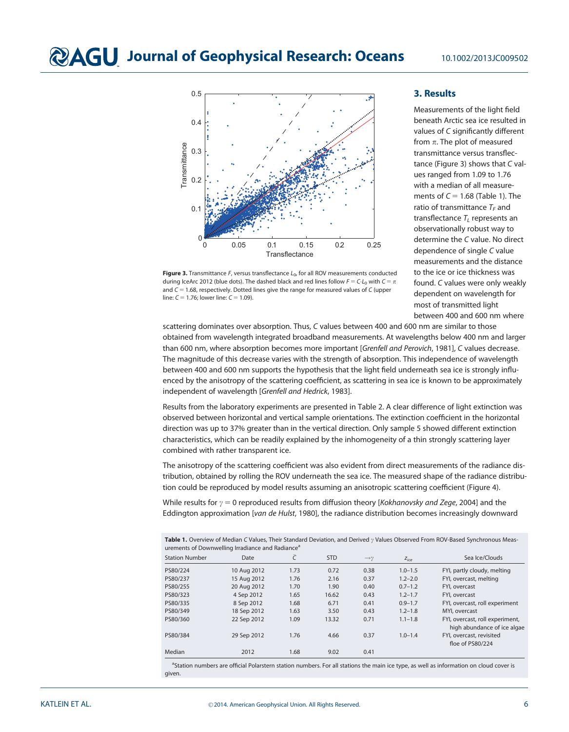

### 3. Results

Measurements of the light field beneath Arctic sea ice resulted in values of C significantly different from  $\pi$ . The plot of measured transmittance versus transflectance (Figure 3) shows that C values ranged from 1.09 to 1.76 with a median of all measurements of  $C = 1.68$  (Table 1). The ratio of transmittance  $T_F$  and transflectance  $T_L$  represents an observationally robust way to determine the C value. No direct dependence of single C value measurements and the distance to the ice or ice thickness was found. C values were only weakly dependent on wavelength for most of transmitted light between 400 and 600 nm where

Figure 3. Transmittance F, versus transflectance  $L_0$ , for all ROV measurements conducted during IceArc 2012 (blue dots). The dashed black and red lines follow  $F = C \cdot L_0$  with  $C = \pi$ and  $C = 1.68$ , respectively. Dotted lines give the range for measured values of  $C$  (upper line:  $C = 1.76$ ; lower line:  $C = 1.09$ ).

scattering dominates over absorption. Thus, C values between 400 and 600 nm are similar to those obtained from wavelength integrated broadband measurements. At wavelengths below 400 nm and larger than 600 nm, where absorption becomes more important [Grenfell and Perovich, 1981], C values decrease. The magnitude of this decrease varies with the strength of absorption. This independence of wavelength between 400 and 600 nm supports the hypothesis that the light field underneath sea ice is strongly influenced by the anisotropy of the scattering coefficient, as scattering in sea ice is known to be approximately independent of wavelength [Grenfell and Hedrick, 1983].

Results from the laboratory experiments are presented in Table 2. A clear difference of light extinction was observed between horizontal and vertical sample orientations. The extinction coefficient in the horizontal direction was up to 37% greater than in the vertical direction. Only sample 5 showed different extinction characteristics, which can be readily explained by the inhomogeneity of a thin strongly scattering layer combined with rather transparent ice.

The anisotropy of the scattering coefficient was also evident from direct measurements of the radiance distribution, obtained by rolling the ROV underneath the sea ice. The measured shape of the radiance distribution could be reproduced by model results assuming an anisotropic scattering coefficient (Figure 4).

While results for  $\gamma = 0$  reproduced results from diffusion theory [Kokhanovsky and Zege, 2004] and the Eddington approximation [van de Hulst, 1980], the radiance distribution becomes increasingly downward

Table 1. Overview of Median C Values, Their Standard Deviation, and Derived  $\gamma$  Values Observed From ROV-Based Synchronous Measurements of Downwelling Irradiance and Radiance<sup>a</sup>

| <b>Station Number</b> | Date        | Č    | <b>STD</b> | $\rightarrow \gamma$ | $Z_{ice}$   | Sea Ice/Clouds                                                 |
|-----------------------|-------------|------|------------|----------------------|-------------|----------------------------------------------------------------|
| PS80/224              | 10 Aug 2012 | 1.73 | 0.72       | 0.38                 | $1.0 - 1.5$ | FYI, partly cloudy, melting                                    |
| PS80/237              | 15 Aug 2012 | 1.76 | 2.16       | 0.37                 | $1.2 - 2.0$ | FYI, overcast, melting                                         |
| PS80/255              | 20 Aug 2012 | 1.70 | 1.90       | 0.40                 | $0.7 - 1.2$ | FYI, overcast                                                  |
| PS80/323              | 4 Sep 2012  | 1.65 | 16.62      | 0.43                 | $1.2 - 1.7$ | FYI, overcast                                                  |
| PS80/335              | 8 Sep 2012  | 1.68 | 6.71       | 0.41                 | $0.9 - 1.7$ | FYI, overcast, roll experiment                                 |
| PS80/349              | 18 Sep 2012 | 1.63 | 3.50       | 0.43                 | $1.2 - 1.8$ | MYI, overcast                                                  |
| PS80/360              | 22 Sep 2012 | 1.09 | 13.32      | 0.71                 | $1.1 - 1.8$ | FYI, overcast, roll experiment,<br>high abundance of ice algae |
| PS80/384              | 29 Sep 2012 | 1.76 | 4.66       | 0.37                 | $1.0 - 1.4$ | FYI, overcast, revisited<br>floe of PS80/224                   |
| Median                | 2012        | 1.68 | 9.02       | 0.41                 |             |                                                                |

<sup>a</sup>Station numbers are official Polarstern station numbers. For all stations the main ice type, as well as information on cloud cover is given.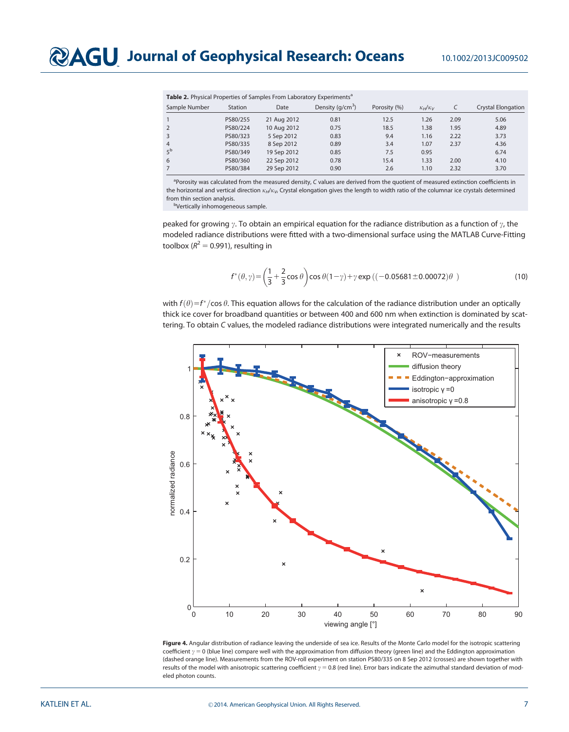| Table 2. Physical Properties of Samples From Laboratory Experiments <sup>a</sup> |          |             |                    |              |                     |      |                    |  |  |  |  |
|----------------------------------------------------------------------------------|----------|-------------|--------------------|--------------|---------------------|------|--------------------|--|--|--|--|
| Sample Number                                                                    | Station  | Date        | Density $(q/cm^3)$ | Porosity (%) | $\kappa_H/\kappa_V$ |      | Crystal Elongation |  |  |  |  |
|                                                                                  | PS80/255 | 21 Aug 2012 | 0.81               | 12.5         | 1.26                | 2.09 | 5.06               |  |  |  |  |
|                                                                                  | PS80/224 | 10 Aug 2012 | 0.75               | 18.5         | 1.38                | 1.95 | 4.89               |  |  |  |  |
|                                                                                  | PS80/323 | 5 Sep 2012  | 0.83               | 9.4          | 1.16                | 2.22 | 3.73               |  |  |  |  |
| $\overline{4}$                                                                   | PS80/335 | 8 Sep 2012  | 0.89               | 3.4          | 1.07                | 2.37 | 4.36               |  |  |  |  |
| 5 <sup>b</sup>                                                                   | PS80/349 | 19 Sep 2012 | 0.85               | 7.5          | 0.95                |      | 6.74               |  |  |  |  |
| 6                                                                                | PS80/360 | 22 Sep 2012 | 0.78               | 15.4         | 1.33                | 2.00 | 4.10               |  |  |  |  |
|                                                                                  | PS80/384 | 29 Sep 2012 | 0.90               | 2.6          | 1.10                | 2.32 | 3.70               |  |  |  |  |

<sup>a</sup>Porosity was calculated from the measured density, C values are derived from the quotient of measured extinction coefficients in the horizontal and vertical direction  $\kappa_H/\kappa_V$ , Crystal elongation gives the length to width ratio of the columnar ice crystals determined from thin section analysis.

bVertically inhomogeneous sample.

peaked for growing  $\gamma$ . To obtain an empirical equation for the radiance distribution as a function of  $\gamma$ , the modeled radiance distributions were fitted with a two-dimensional surface using the MATLAB Curve-Fitting toolbox ( $R^2$  = 0.991), resulting in

$$
f^*(\theta, \gamma) = \left(\frac{1}{3} + \frac{2}{3}\cos\theta\right)\cos\theta(1-\gamma) + \gamma \exp\left((-0.05681 \pm 0.00072)\theta\right) \tag{10}
$$

with  $f(\theta) = f^* / \cos \theta$ . This equation allows for the calculation of the radiance distribution under an optically thick ice cover for broadband quantities or between 400 and 600 nm when extinction is dominated by scattering. To obtain C values, the modeled radiance distributions were integrated numerically and the results



Figure 4. Angular distribution of radiance leaving the underside of sea ice. Results of the Monte Carlo model for the isotropic scattering coefficient  $y = 0$  (blue line) compare well with the approximation from diffusion theory (green line) and the Eddington approximation (dashed orange line). Measurements from the ROV-roll experiment on station PS80/335 on 8 Sep 2012 (crosses) are shown together with results of the model with anisotropic scattering coefficient  $\gamma$  = 0.8 (red line). Error bars indicate the azimuthal standard deviation of modeled photon counts.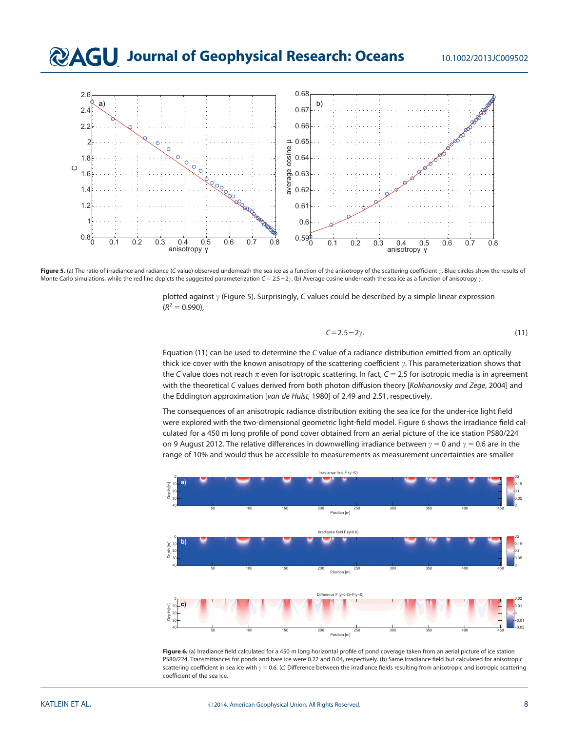## **@AGU** Journal of Geophysical Research: Oceans 10.1002/2013JC009502



Figure 5. (a) The ratio of irradiance and radiance (C value) observed underneath the sea ice as a function of the anisotropy of the scattering coefficient  $\gamma$ . Blue circles show the results of Monte Carlo simulations, while the red line depicts the suggested parameterization  $C = 2.5 - 2$ . (b) Average cosine underneath the sea ice as a function of anisotropy  $\gamma$ .

plotted against  $\gamma$  (Figure 5). Surprisingly, C values could be described by a simple linear expression  $(R^2 = 0.990)$ ,

$$
C=2.5-2\gamma.\tag{11}
$$

Equation (11) can be used to determine the C value of a radiance distribution emitted from an optically thick ice cover with the known anisotropy of the scattering coefficient  $\gamma$ . This parameterization shows that the C value does not reach  $\pi$  even for isotropic scattering. In fact,  $C = 2.5$  for isotropic media is in agreement with the theoretical C values derived from both photon diffusion theory [Kokhanovsky and Zege, 2004] and the Eddington approximation [van de Hulst, 1980] of 2.49 and 2.51, respectively.

The consequences of an anisotropic radiance distribution exiting the sea ice for the under-ice light field were explored with the two-dimensional geometric light-field model. Figure 6 shows the irradiance field calculated for a 450 m long profile of pond cover obtained from an aerial picture of the ice station PS80/224 on 9 August 2012. The relative differences in downwelling irradiance between  $\gamma = 0$  and  $\gamma = 0.6$  are in the range of 10% and would thus be accessible to measurements as measurement uncertainties are smaller



Figure 6. (a) Irradiance field calculated for a 450 m long horizontal profile of pond coverage taken from an aerial picture of ice station PS80/224. Transmittances for ponds and bare ice were 0.22 and 0.04, respectively. (b) Same irradiance field but calculated for anisotropic scattering coefficient in sea ice with  $\gamma = 0.6$ . (c) Difference between the irradiance fields resulting from anisotropic and isotropic scattering coefficient of the sea ice.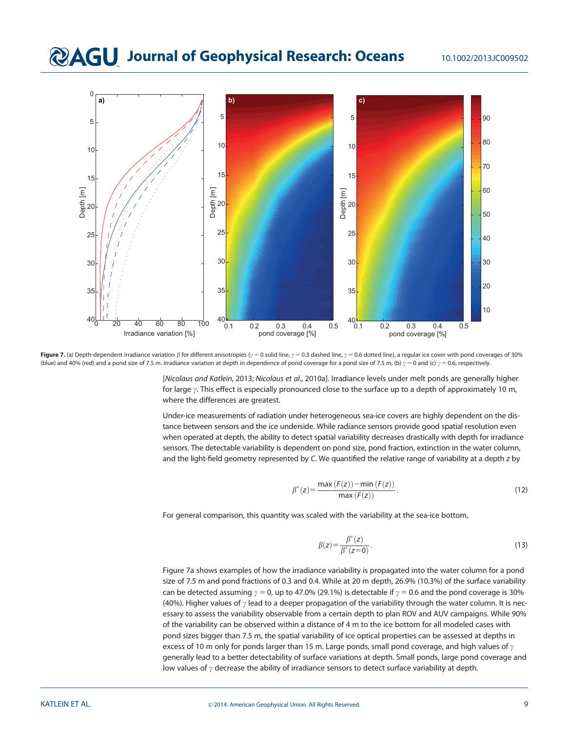## **QAGU** Journal of Geophysical Research: Oceans 10.1002/2013JC009502



Figure 7. (a) Depth-dependent irradiance variation  $\beta$  for different anisotropies ( $\gamma = 0$  solid line,  $\gamma = 0.3$  dashed line,  $\gamma = 0.6$  dotted line), a regular ice cover with pond coverages of 30% (blue) and 40% (red) and a pond size of 7.5 m. Irradiance variation at depth in dependence of pond coverage for a pond size of 7.5 m, (b)  $\gamma$  = 0 and (c)  $\gamma$  = 0.6, respectively.

[Nicolaus and Katlein, 2013; Nicolaus et al., 2010a]. Irradiance levels under melt ponds are generally higher for large  $\gamma$ . This effect is especially pronounced close to the surface up to a depth of approximately 10 m, where the differences are greatest.

Under-ice measurements of radiation under heterogeneous sea-ice covers are highly dependent on the distance between sensors and the ice underside. While radiance sensors provide good spatial resolution even when operated at depth, the ability to detect spatial variability decreases drastically with depth for irradiance sensors. The detectable variability is dependent on pond size, pond fraction, extinction in the water column, and the light-field geometry represented by C. We quantified the relative range of variability at a depth z by

$$
\beta^*(z) = \frac{\max\left(F(z)\right) - \min\left(F(z)\right)}{\max\left(F(z)\right)}.
$$
\n(12)

For general comparison, this quantity was scaled with the variability at the sea-ice bottom,

$$
\beta(z) = \frac{\beta^*(z)}{\beta^*(z=0)}.
$$
\n(13)

Figure 7a shows examples of how the irradiance variability is propagated into the water column for a pond size of 7.5 m and pond fractions of 0.3 and 0.4. While at 20 m depth, 26.9% (10.3%) of the surface variability can be detected assuming  $\gamma$  = 0, up to 47.0% (29.1%) is detectable if  $\gamma$  = 0.6 and the pond coverage is 30% (40%). Higher values of  $\gamma$  lead to a deeper propagation of the variability through the water column. It is necessary to assess the variability observable from a certain depth to plan ROV and AUV campaigns. While 90% of the variability can be observed within a distance of 4 m to the ice bottom for all modeled cases with pond sizes bigger than 7.5 m, the spatial variability of ice optical properties can be assessed at depths in excess of 10 m only for ponds larger than 15 m. Large ponds, small pond coverage, and high values of  $\gamma$ generally lead to a better detectability of surface variations at depth. Small ponds, large pond coverage and low values of  $\gamma$  decrease the ability of irradiance sensors to detect surface variability at depth.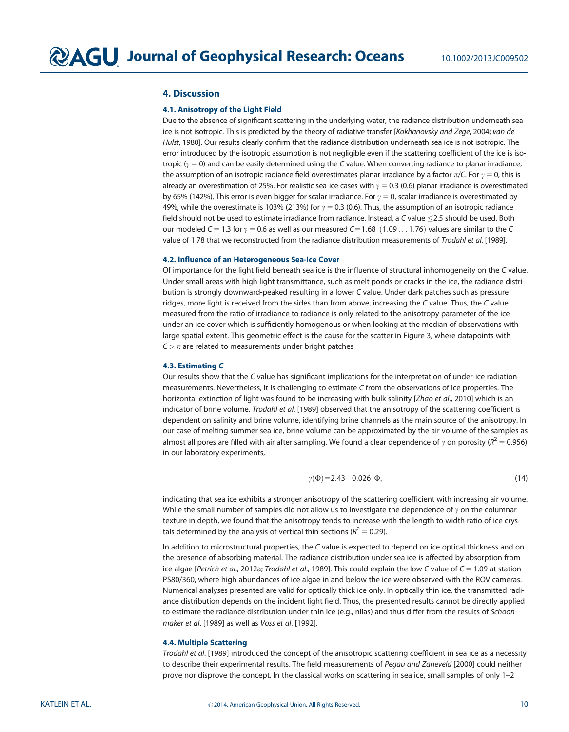### 4. Discussion

### 4.1. Anisotropy of the Light Field

Due to the absence of significant scattering in the underlying water, the radiance distribution underneath sea ice is not isotropic. This is predicted by the theory of radiative transfer [Kokhanovsky and Zege, 2004; van de Hulst, 1980]. Our results clearly confirm that the radiance distribution underneath sea ice is not isotropic. The error introduced by the isotropic assumption is not negligible even if the scattering coefficient of the ice is isotropic ( $\gamma$  = 0) and can be easily determined using the C value. When converting radiance to planar irradiance, the assumption of an isotropic radiance field overestimates planar irradiance by a factor  $\pi/C$ . For  $\gamma = 0$ , this is already an overestimation of 25%. For realistic sea-ice cases with  $\gamma = 0.3$  (0.6) planar irradiance is overestimated by 65% (142%). This error is even bigger for scalar irradiance. For  $\gamma = 0$ , scalar irradiance is overestimated by 49%, while the overestimate is 103% (213%) for  $\gamma = 0.3$  (0.6). Thus, the assumption of an isotropic radiance field should not be used to estimate irradiance from radiance. Instead, a C value  $\leq$ 2.5 should be used. Both our modeled C = 1.3 for  $\gamma$  = 0.6 as well as our measured C=1.68 (1.09 ... 1.76) values are similar to the C value of 1.78 that we reconstructed from the radiance distribution measurements of Trodahl et al. [1989].

### 4.2. Influence of an Heterogeneous Sea-Ice Cover

Of importance for the light field beneath sea ice is the influence of structural inhomogeneity on the C value. Under small areas with high light transmittance, such as melt ponds or cracks in the ice, the radiance distribution is strongly downward-peaked resulting in a lower C value. Under dark patches such as pressure ridges, more light is received from the sides than from above, increasing the C value. Thus, the C value measured from the ratio of irradiance to radiance is only related to the anisotropy parameter of the ice under an ice cover which is sufficiently homogenous or when looking at the median of observations with large spatial extent. This geometric effect is the cause for the scatter in Figure 3, where datapoints with  $C > \pi$  are related to measurements under bright patches

### 4.3. Estimating C

Our results show that the C value has significant implications for the interpretation of under-ice radiation measurements. Nevertheless, it is challenging to estimate C from the observations of ice properties. The horizontal extinction of light was found to be increasing with bulk salinity [Zhao et al., 2010] which is an indicator of brine volume. Trodahl et al. [1989] observed that the anisotropy of the scattering coefficient is dependent on salinity and brine volume, identifying brine channels as the main source of the anisotropy. In our case of melting summer sea ice, brine volume can be approximated by the air volume of the samples as almost all pores are filled with air after sampling. We found a clear dependence of  $\gamma$  on porosity ( $R^2$  = 0.956) in our laboratory experiments,

$$
\gamma(\Phi) = 2.43 - 0.026 \Phi,
$$
\n(14)

indicating that sea ice exhibits a stronger anisotropy of the scattering coefficient with increasing air volume. While the small number of samples did not allow us to investigate the dependence of  $\gamma$  on the columnar texture in depth, we found that the anisotropy tends to increase with the length to width ratio of ice crystals determined by the analysis of vertical thin sections ( $R^2 = 0.29$ ).

In addition to microstructural properties, the C value is expected to depend on ice optical thickness and on the presence of absorbing material. The radiance distribution under sea ice is affected by absorption from ice algae [Petrich et al., 2012a; Trodahl et al., 1989]. This could explain the low C value of  $C = 1.09$  at station PS80/360, where high abundances of ice algae in and below the ice were observed with the ROV cameras. Numerical analyses presented are valid for optically thick ice only. In optically thin ice, the transmitted radiance distribution depends on the incident light field. Thus, the presented results cannot be directly applied to estimate the radiance distribution under thin ice (e.g., nilas) and thus differ from the results of Schoonmaker et al. [1989] as well as Voss et al. [1992].

### 4.4. Multiple Scattering

Trodahl et al. [1989] introduced the concept of the anisotropic scattering coefficient in sea ice as a necessity to describe their experimental results. The field measurements of Pegau and Zaneveld [2000] could neither prove nor disprove the concept. In the classical works on scattering in sea ice, small samples of only 1–2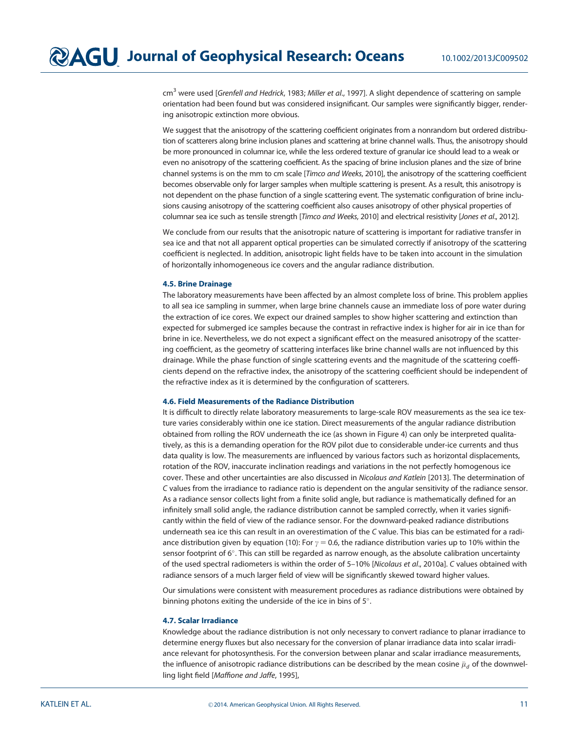cm<sup>3</sup> were used [Grenfell and Hedrick, 1983; Miller et al., 1997]. A slight dependence of scattering on sample orientation had been found but was considered insignificant. Our samples were significantly bigger, rendering anisotropic extinction more obvious.

We suggest that the anisotropy of the scattering coefficient originates from a nonrandom but ordered distribution of scatterers along brine inclusion planes and scattering at brine channel walls. Thus, the anisotropy should be more pronounced in columnar ice, while the less ordered texture of granular ice should lead to a weak or even no anisotropy of the scattering coefficient. As the spacing of brine inclusion planes and the size of brine channel systems is on the mm to cm scale [Timco and Weeks, 2010], the anisotropy of the scattering coefficient becomes observable only for larger samples when multiple scattering is present. As a result, this anisotropy is not dependent on the phase function of a single scattering event. The systematic configuration of brine inclusions causing anisotropy of the scattering coefficient also causes anisotropy of other physical properties of columnar sea ice such as tensile strength [Timco and Weeks, 2010] and electrical resistivity [Jones et al., 2012].

We conclude from our results that the anisotropic nature of scattering is important for radiative transfer in sea ice and that not all apparent optical properties can be simulated correctly if anisotropy of the scattering coefficient is neglected. In addition, anisotropic light fields have to be taken into account in the simulation of horizontally inhomogeneous ice covers and the angular radiance distribution.

### 4.5. Brine Drainage

The laboratory measurements have been affected by an almost complete loss of brine. This problem applies to all sea ice sampling in summer, when large brine channels cause an immediate loss of pore water during the extraction of ice cores. We expect our drained samples to show higher scattering and extinction than expected for submerged ice samples because the contrast in refractive index is higher for air in ice than for brine in ice. Nevertheless, we do not expect a significant effect on the measured anisotropy of the scattering coefficient, as the geometry of scattering interfaces like brine channel walls are not influenced by this drainage. While the phase function of single scattering events and the magnitude of the scattering coefficients depend on the refractive index, the anisotropy of the scattering coefficient should be independent of the refractive index as it is determined by the configuration of scatterers.

### 4.6. Field Measurements of the Radiance Distribution

It is difficult to directly relate laboratory measurements to large-scale ROV measurements as the sea ice texture varies considerably within one ice station. Direct measurements of the angular radiance distribution obtained from rolling the ROV underneath the ice (as shown in Figure 4) can only be interpreted qualitatively, as this is a demanding operation for the ROV pilot due to considerable under-ice currents and thus data quality is low. The measurements are influenced by various factors such as horizontal displacements, rotation of the ROV, inaccurate inclination readings and variations in the not perfectly homogenous ice cover. These and other uncertainties are also discussed in Nicolaus and Katlein [2013]. The determination of C values from the irradiance to radiance ratio is dependent on the angular sensitivity of the radiance sensor. As a radiance sensor collects light from a finite solid angle, but radiance is mathematically defined for an infinitely small solid angle, the radiance distribution cannot be sampled correctly, when it varies significantly within the field of view of the radiance sensor. For the downward-peaked radiance distributions underneath sea ice this can result in an overestimation of the C value. This bias can be estimated for a radiance distribution given by equation (10): For  $\gamma$  = 0.6, the radiance distribution varies up to 10% within the sensor footprint of  $6^\circ$ . This can still be regarded as narrow enough, as the absolute calibration uncertainty of the used spectral radiometers is within the order of 5–10% [Nicolaus et al., 2010a]. C values obtained with radiance sensors of a much larger field of view will be significantly skewed toward higher values.

Our simulations were consistent with measurement procedures as radiance distributions were obtained by binning photons exiting the underside of the ice in bins of  $5^\circ$ .

### 4.7. Scalar Irradiance

Knowledge about the radiance distribution is not only necessary to convert radiance to planar irradiance to determine energy fluxes but also necessary for the conversion of planar irradiance data into scalar irradiance relevant for photosynthesis. For the conversion between planar and scalar irradiance measurements, the influence of anisotropic radiance distributions can be described by the mean cosine  $\bar{\mu}_d$  of the downwelling light field [Maffione and Jaffe, 1995],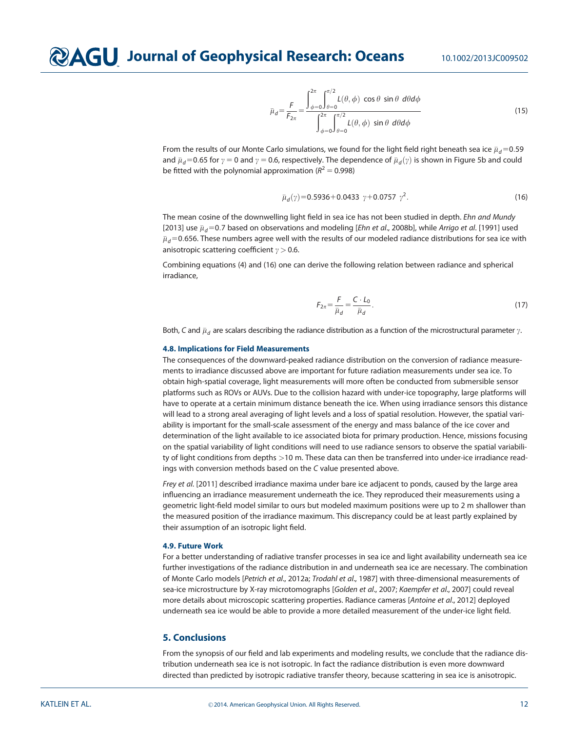$$
\bar{\mu}_d = \frac{F}{F_{2\pi}} = \frac{\int_{\phi=0}^{2\pi} \int_{\theta=0}^{\pi/2} L(\theta, \phi) \cos \theta \sin \theta \, d\theta d\phi}{\int_{\phi=0}^{2\pi} \int_{\theta=0}^{\pi/2} L(\theta, \phi) \sin \theta \, d\theta d\phi}
$$
(15)

From the results of our Monte Carlo simulations, we found for the light field right beneath sea ice  $\bar{\mu}_d=0.59$ and  $\bar{\mu}_d$  = 0.65 for  $\gamma$  = 0 and  $\gamma$  = 0.6, respectively. The dependence of  $\bar{\mu}_d(\gamma)$  is shown in Figure 5b and could be fitted with the polynomial approximation ( $R^2 = 0.998$ )

$$
\bar{\mu}_d(\gamma) = 0.5936 + 0.0433 \gamma + 0.0757 \gamma^2. \tag{16}
$$

The mean cosine of the downwelling light field in sea ice has not been studied in depth. Ehn and Mundy [2013] use  $\bar{\mu}_d$  = 0.7 based on observations and modeling [Ehn et al., 2008b], while Arrigo et al. [1991] used  $\bar{\mu}_d$ =0.656. These numbers agree well with the results of our modeled radiance distributions for sea ice with anisotropic scattering coefficient  $\gamma > 0.6$ .

Combining equations (4) and (16) one can derive the following relation between radiance and spherical irradiance,

$$
F_{2\pi} = \frac{F}{\bar{\mu}_d} = \frac{C \cdot L_0}{\bar{\mu}_d}.
$$
\n(17)

Both, C and  $\bar{\mu}_d$  are scalars describing the radiance distribution as a function of the microstructural parameter  $\gamma$ .

### 4.8. Implications for Field Measurements

The consequences of the downward-peaked radiance distribution on the conversion of radiance measurements to irradiance discussed above are important for future radiation measurements under sea ice. To obtain high-spatial coverage, light measurements will more often be conducted from submersible sensor platforms such as ROVs or AUVs. Due to the collision hazard with under-ice topography, large platforms will have to operate at a certain minimum distance beneath the ice. When using irradiance sensors this distance will lead to a strong areal averaging of light levels and a loss of spatial resolution. However, the spatial variability is important for the small-scale assessment of the energy and mass balance of the ice cover and determination of the light available to ice associated biota for primary production. Hence, missions focusing on the spatial variability of light conditions will need to use radiance sensors to observe the spatial variability of light conditions from depths >10 m. These data can then be transferred into under-ice irradiance readings with conversion methods based on the C value presented above.

Frey et al. [2011] described irradiance maxima under bare ice adjacent to ponds, caused by the large area influencing an irradiance measurement underneath the ice. They reproduced their measurements using a geometric light-field model similar to ours but modeled maximum positions were up to 2 m shallower than the measured position of the irradiance maximum. This discrepancy could be at least partly explained by their assumption of an isotropic light field.

### 4.9. Future Work

For a better understanding of radiative transfer processes in sea ice and light availability underneath sea ice further investigations of the radiance distribution in and underneath sea ice are necessary. The combination of Monte Carlo models [Petrich et al., 2012a; Trodahl et al., 1987] with three-dimensional measurements of sea-ice microstructure by X-ray microtomographs [Golden et al., 2007; Kaempfer et al., 2007] could reveal more details about microscopic scattering properties. Radiance cameras [Antoine et al., 2012] deployed underneath sea ice would be able to provide a more detailed measurement of the under-ice light field.

### 5. Conclusions

From the synopsis of our field and lab experiments and modeling results, we conclude that the radiance distribution underneath sea ice is not isotropic. In fact the radiance distribution is even more downward directed than predicted by isotropic radiative transfer theory, because scattering in sea ice is anisotropic.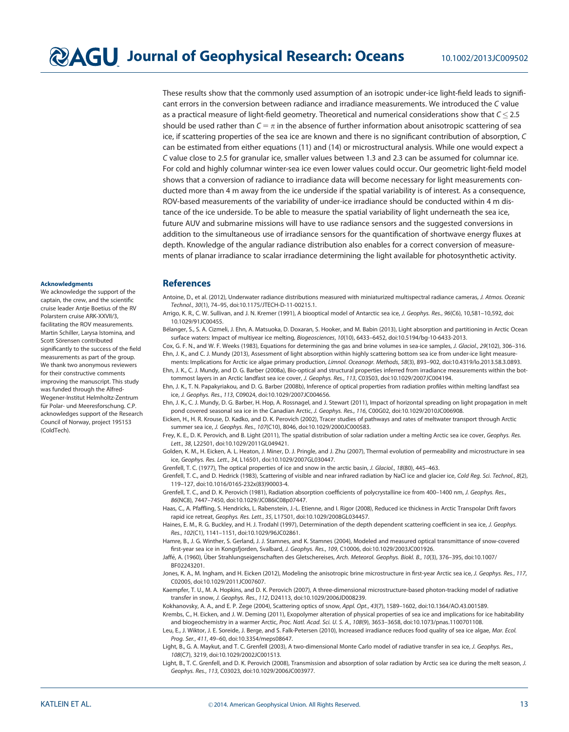These results show that the commonly used assumption of an isotropic under-ice light-field leads to significant errors in the conversion between radiance and irradiance measurements. We introduced the C value as a practical measure of light-field geometry. Theoretical and numerical considerations show that  $C < 2.5$ should be used rather than  $C = \pi$  in the absence of further information about anisotropic scattering of sea ice, if scattering properties of the sea ice are known and there is no significant contribution of absorption, C can be estimated from either equations (11) and (14) or microstructural analysis. While one would expect a C value close to 2.5 for granular ice, smaller values between 1.3 and 2.3 can be assumed for columnar ice. For cold and highly columnar winter-sea ice even lower values could occur. Our geometric light-field model shows that a conversion of radiance to irradiance data will become necessary for light measurements conducted more than 4 m away from the ice underside if the spatial variability is of interest. As a consequence, ROV-based measurements of the variability of under-ice irradiance should be conducted within 4 m distance of the ice underside. To be able to measure the spatial variability of light underneath the sea ice, future AUV and submarine missions will have to use radiance sensors and the suggested conversions in addition to the simultaneous use of irradiance sensors for the quantification of shortwave energy fluxes at depth. Knowledge of the angular radiance distribution also enables for a correct conversion of measurements of planar irradiance to scalar irradiance determining the light available for photosynthetic activity.

### **References**

Antoine, D., et al. (2012), Underwater radiance distributions measured with miniaturized multispectral radiance cameras, J. Atmos. Oceanic Technol., 30(1), 74–95, doi[:10.1175/JTECH-D-11-00215.1](info:doi/10.1175/JTECH-D-11-00215.1).

Arrigo, K. R., C. W. Sullivan, and J. N. Kremer (1991), A biooptical model of Antarctic sea ice, J. Geophys. Res., 96(C6), 10,581–10,592, doi: [10.1029/91JC00455](info:doi/10.1029/91JC00455).

Bélanger, S., S. A. Cizmeli, J. Ehn, A. Matsuoka, D. Doxaran, S. Hooker, and M. Babin (2013), Light absorption and partitioning in Arctic Ocean surface waters: Impact of multiyear ice melting, Biogeosciences, 10(10), 6433–6452, doi:[10.5194/bg-10-6433-2013.](info:doi/10.5194/bg-10-6433-2013)

Cox, G. F. N., and W. F. Weeks (1983), Equations for determining the gas and brine volumes in sea-ice samples, J. Glaciol., 29(102), 306–316. Ehn, J. K., and C. J. Mundy (2013), Assessment of light absorption within highly scattering bottom sea ice from under-ice light measure-

ments: Implications for Arctic ice algae primary production, Limnol. Oceanogr. Methods, 58(3), 893–902, doi:[10.4319/lo.2013.58.3.0893](info:doi/10.4319/lo.2013.58.3.0893). Ehn, J. K., C. J. Mundy, and D. G. Barber (2008a), Bio-optical and structural properties inferred from irradiance measurements within the bottommost layers in an Arctic landfast sea ice cover, J. Geophys. Res., 113, C03S03, doi[:10.1029/2007JC004194](info:doi/10.1029/2007JC004194).

Ehn, J. K., T. N. Papakyriakou, and D. G. Barber (2008b), Inference of optical properties from radiation profiles within melting landfast sea ice, J. Geophys. Res., 113, C09024, doi:[10.1029/2007JC004656](info:doi/10.1029/2007JC004656).

Ehn, J. K., C. J. Mundy, D. G. Barber, H. Hop, A. Rossnagel, and J. Stewart (2011), Impact of horizontal spreading on light propagation in melt pond covered seasonal sea ice in the Canadian Arctic, J. Geophys. Res., 116, C00G02, doi:[10.1029/2010JC006908](info:doi/10.1029/2010JC006908).

Eicken, H., H. R. Krouse, D. Kadko, and D. K. Perovich (2002), Tracer studies of pathways and rates of meltwater transport through Arctic summer sea ice, J. Geophys. Res., 107(C10), 8046, doi:[10.1029/2000JC000583](info:doi/10.1029/2000JC000583).

Frey, K. E., D. K. Perovich, and B. Light (2011), The spatial distribution of solar radiation under a melting Arctic sea ice cover, Geophys. Res. Lett., 38, L22501, doi:[10.1029/2011GL049421](info:doi/10.1029/2011GL049421).

Golden, K. M., H. Eicken, A. L. Heaton, J. Miner, D. J. Pringle, and J. Zhu (2007), Thermal evolution of permeability and microstructure in sea ice, Geophys. Res. Lett., 34, L16501, doi:[10.1029/2007GL030447.](info:doi/10.1029/2007GL030447)

Grenfell, T. C. (1977), The optical properties of ice and snow in the arctic basin, J. Glaciol., 18(80), 445-463.

Grenfell, T. C., and D. Hedrick (1983), Scattering of visible and near infrared radiation by NaCl ice and glacier ice, Cold Reg. Sci. Technol., 8(2), 119–127, doi[:10.1016/0165-232x\(83\)90003-4](info:doi/10.1016/0165-232x(83)90003-4).

Grenfell, T. C., and D. K. Perovich (1981), Radiation absorption coefficients of polycrystalline ice from 400–1400 nm, J. Geophys. Res., 86(NC8), 7447–7450, doi[:10.1029/JC086iC08p07447.](info:doi/10.1029/JC086iC08p07447)

Haas, C., A. Pfaffling, S. Hendricks, L. Rabenstein, J.-L. Etienne, and I. Rigor (2008), Reduced ice thickness in Arctic Transpolar Drift favors rapid ice retreat, Geophys. Res. Lett., 35, L17501, doi:[10.1029/2008GL034457.](info:doi/10.1029/2008GL034457)

Haines, E. M., R. G. Buckley, and H. J. Trodahl (1997), Determination of the depth dependent scattering coefficient in sea ice, J. Geophys. Res., 102(C1), 1141–1151, doi[:10.1029/96JC02861](info:doi/10.1029/96JC02861).

Hamre, B., J. G. Winther, S. Gerland, J. J. Stamnes, and K. Stamnes (2004), Modeled and measured optical transmittance of snow-covered first-year sea ice in Kongsfjorden, Svalbard, J. Geophys. Res., 109, C10006, doi[:10.1029/2003JC001926.](info:doi/10.1029/2003JC001926)

Jaffé, A. (1960), Über Strahlungseigenschaften des Gletschereises, Arch. Meteorol. Geophys. Biokl. B., 10(3), 376-395, doi[:10.1007/](info:doi/10.1007/BF02243201) [BF02243201](info:doi/10.1007/BF02243201).

Jones, K. A., M. Ingham, and H. Eicken (2012), Modeling the anisotropic brine microstructure in first-year Arctic sea ice, J. Geophys. Res., 117, C02005, doi[:10.1029/2011JC007607.](info:doi/10.1029/2011JC007607)

Kaempfer, T. U., M. A. Hopkins, and D. K. Perovich (2007), A three-dimensional microstructure-based photon-tracking model of radiative transfer in snow, J. Geophys. Res., 112, D24113, doi[:10.1029/2006JD008239](info:doi/10.1029/2006JD008239).

Kokhanovsky, A. A., and E. P. Zege (2004), Scattering optics of snow, Appl. Opt., 43(7), 1589–1602, doi:[10.1364/AO.43.001589.](info:doi/10.1364/AO.43.001589) Krembs, C., H. Eicken, and J. W. Deming (2011), Exopolymer alteration of physical properties of sea ice and implications for ice habitability

and biogeochemistry in a warmer Arctic, Proc. Natl. Acad. Sci. U. S. A., 108(9), 3653–3658, doi:[10.1073/pnas.1100701108.](info:doi/10.1073/pnas.1100701108)

Leu, E., J. Wiktor, J. E. Soreide, J. Berge, and S. Falk-Petersen (2010), Increased irradiance reduces food quality of sea ice algae, Mar. Ecol. Prog. Ser., 411, 49–60, doi:[10.3354/meps08647.](info:doi/10.3354/meps08647)

Light, B., G. A. Maykut, and T. C. Grenfell (2003), A two-dimensional Monte Carlo model of radiative transfer in sea ice, J. Geophys. Res., 108(C7), 3219, doi[:10.1029/2002JC001513.](info:doi/10.1029/2002JC001513)

Light, B., T. C. Grenfell, and D. K. Perovich (2008), Transmission and absorption of solar radiation by Arctic sea ice during the melt season, J. Geophys. Res., 113, C03023, doi:[10.1029/2006JC003977](info:doi/10.1029/2006JC003977).

#### Acknowledgments

We acknowledge the support of the captain, the crew, and the scientific cruise leader Antje Boetius of the RV Polarstern cruise ARK-XXVII/3, facilitating the ROV measurements. Martin Schiller, Larysa Istomina, and Scott Sörensen contributed significantly to the success of the field measurements as part of the group. We thank two anonymous reviewers for their constructive comments improving the manuscript. This study was funded through the Alfred-Wegener-Institut Helmholtz-Zentrum für Polar- und Meeresforschung. C.P. acknowledges support of the Research Council of Norway, project 195153 (ColdTech).